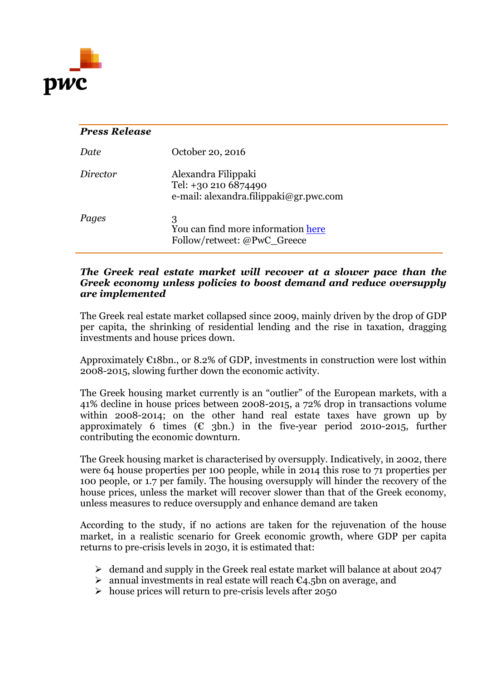

## *Press Release Date* October 20, 2016 *Director* Alexandra Filippaki Tel: +30 210 6874490 e-mail: alexandra.filippaki@gr.pwc.com *Pages* 3 You can find more information [here](http://www.pwc.com/gr/en/publications/financial-services-index/greek-real-estate-market.html?WT.mc_id=pr1016_5) Follow/retweet: @PwC\_Greece

## *The Greek real estate market will recover at a slower pace than the Greek economy unless policies to boost demand and reduce oversupply are implemented*

The Greek real estate market collapsed since 2009, mainly driven by the drop of GDP per capita, the shrinking of residential lending and the rise in taxation, dragging investments and house prices down.

Approximately  $E18bn$ , or 8.2% of GDP, investments in construction were lost within 2008-2015, slowing further down the economic activity.

The Greek housing market currently is an "outlier" of the European markets, with a 41% decline in house prices between 2008-2015, a 72% drop in transactions volume within 2008-2014; on the other hand real estate taxes have grown up by approximately 6 times ( $\epsilon$  3bn.) in the five-year period 2010-2015, further contributing the economic downturn.

The Greek housing market is characterised by oversupply. Indicatively, in 2002, there were 64 house properties per 100 people, while in 2014 this rose to 71 properties per 100 people, or 1.7 per family. The housing oversupply will hinder the recovery of the house prices, unless the market will recover slower than that of the Greek economy, unless measures to reduce oversupply and enhance demand are taken

According to the study, if no actions are taken for the rejuvenation of the house market, in a realistic scenario for Greek economic growth, where GDP per capita returns to pre-crisis levels in 2030, it is estimated that:

- $\geq$  demand and supply in the Greek real estate market will balance at about 2047
- $\triangleright$  annual investments in real estate will reach  $\epsilon_{4.5}$ bn on average, and
- $\triangleright$  house prices will return to pre-crisis levels after 2050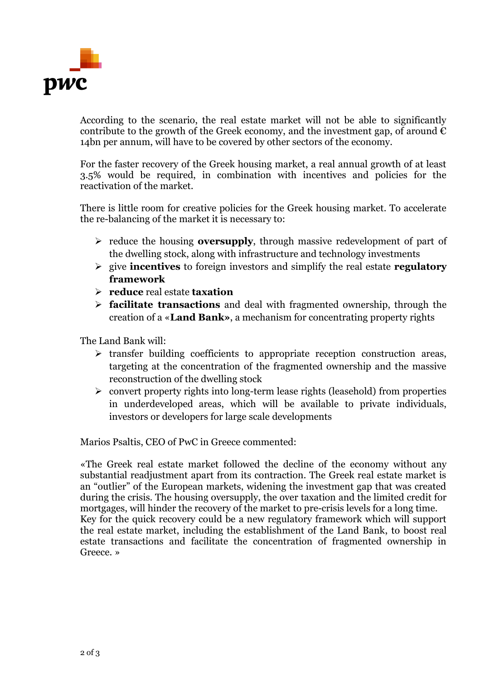

According to the scenario, the real estate market will not be able to significantly contribute to the growth of the Greek economy, and the investment gap, of around  $\epsilon$ 14bn per annum, will have to be covered by other sectors of the economy.

For the faster recovery of the Greek housing market, a real annual growth of at least 3.5% would be required, in combination with incentives and policies for the reactivation of the market.

There is little room for creative policies for the Greek housing market. To accelerate the re-balancing of the market it is necessary to:

- reduce the housing **oversupply**, through massive redevelopment of part of the dwelling stock, along with infrastructure and technology investments
- give **incentives** to foreign investors and simplify the real estate **regulatory framework**
- **reduce** real estate **taxation**
- **facilitate transactions** and deal with fragmented ownership, through the creation of a «**Land Bank»**, a mechanism for concentrating property rights

The Land Bank will:

- $\triangleright$  transfer building coefficients to appropriate reception construction areas, targeting at the concentration of the fragmented ownership and the massive reconstruction of the dwelling stock
- $\triangleright$  convert property rights into long-term lease rights (leasehold) from properties in underdeveloped areas, which will be available to private individuals, investors or developers for large scale developments

Marios Psaltis, CEO of PwC in Greece commented:

«The Greek real estate market followed the decline of the economy without any substantial readjustment apart from its contraction. The Greek real estate market is an "outlier" of the European markets, widening the investment gap that was created during the crisis. The housing oversupply, the over taxation and the limited credit for mortgages, will hinder the recovery of the market to pre-crisis levels for a long time. Key for the quick recovery could be a new regulatory framework which will support the real estate market, including the establishment of the Land Bank, to boost real estate transactions and facilitate the concentration of fragmented ownership in Greece. »